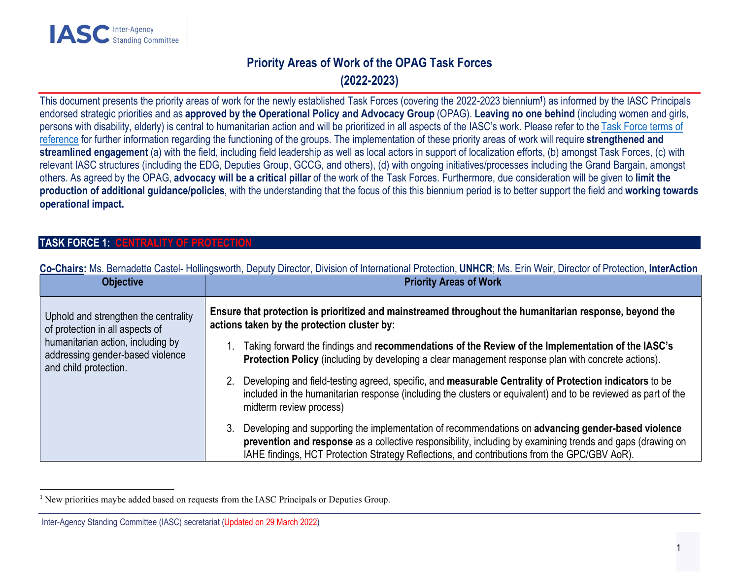# Priority Areas of Work of the OPAG Task Forces (2022-2023)

This document presents the priority areas of work for the newly established Task Forces (covering the 2022-2023 biennium<sup>1</sup> ) as informed by the IASC Principals endorsed strategic priorities and as approved by the Operational Policy and Advocacy Group (OPAG). Leaving no one behind (including women and girls, persons with disability, elderly) is central to humanitarian action and will be prioritized in all aspects of the IASC's work. Please refer to the Task Force terms of reference for further information regarding the functioning of the groups. The implementation of these priority areas of work will require strengthened and streamlined engagement (a) with the field, including field leadership as well as local actors in support of localization efforts, (b) amongst Task Forces, (c) with relevant IASC structures (including the EDG, Deputies Group, GCCG, and others), (d) with ongoing initiatives/processes including the Grand Bargain, amongst others. As agreed by the OPAG, advocacy will be a critical pillar of the work of the Task Forces. Furthermore, due consideration will be given to limit the production of additional guidance/policies, with the understanding that the focus of this this biennium period is to better support the field and working towards operational impact.

### TASK FORCE 1: CENTRALITY OF PROTECTION

| <b>Objective</b>                                                                                                                                                          | <b>Priority Areas of Work</b>                                                                                                                                                                                                                                                                                                      |
|---------------------------------------------------------------------------------------------------------------------------------------------------------------------------|------------------------------------------------------------------------------------------------------------------------------------------------------------------------------------------------------------------------------------------------------------------------------------------------------------------------------------|
| Uphold and strengthen the centrality<br>of protection in all aspects of<br>humanitarian action, including by<br>addressing gender-based violence<br>and child protection. | Ensure that protection is prioritized and mainstreamed throughout the humanitarian response, beyond the<br>actions taken by the protection cluster by:                                                                                                                                                                             |
|                                                                                                                                                                           | Taking forward the findings and recommendations of the Review of the Implementation of the IASC's<br>Protection Policy (including by developing a clear management response plan with concrete actions).                                                                                                                           |
|                                                                                                                                                                           | Developing and field-testing agreed, specific, and measurable Centrality of Protection indicators to be<br>included in the humanitarian response (including the clusters or equivalent) and to be reviewed as part of the<br>midterm review process)                                                                               |
|                                                                                                                                                                           | Developing and supporting the implementation of recommendations on advancing gender-based violence<br>3 <sub>1</sub><br>prevention and response as a collective responsibility, including by examining trends and gaps (drawing on<br>IAHE findings, HCT Protection Strategy Reflections, and contributions from the GPC/GBV AoR). |

Co-Chairs: Ms. Bernadette Castel- Hollingsworth, Deputy Director, Division of International Protection, UNHCR; Ms. Erin Weir, Director of Protection, InterAction

<sup>&</sup>lt;sup>1</sup> New priorities maybe added based on requests from the IASC Principals or Deputies Group.

Inter-Agency Standing Committee (IASC) secretariat (Updated on 29 March 2022)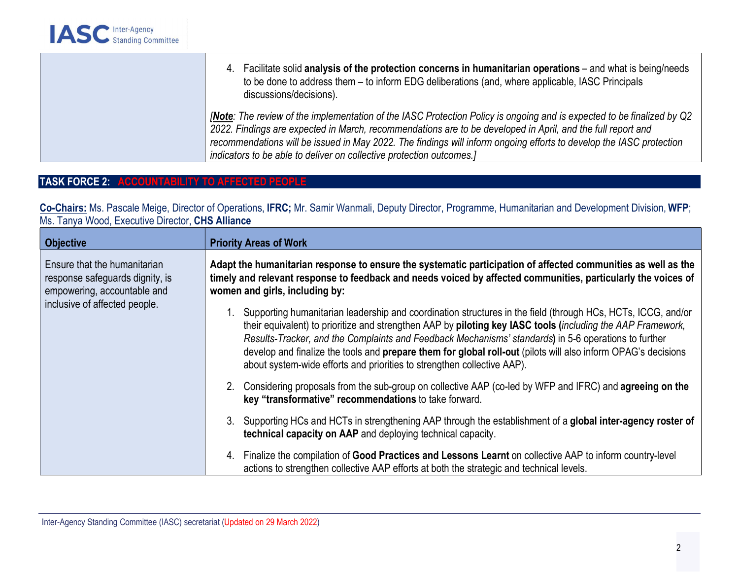| 4. Facilitate solid analysis of the protection concerns in humanitarian operations – and what is being/needs<br>to be done to address them – to inform EDG deliberations (and, where applicable, IASC Principals<br>discussions/decisions).                                                                                                                                                                                               |
|-------------------------------------------------------------------------------------------------------------------------------------------------------------------------------------------------------------------------------------------------------------------------------------------------------------------------------------------------------------------------------------------------------------------------------------------|
| <b>Note:</b> The review of the implementation of the IASC Protection Policy is ongoing and is expected to be finalized by Q2<br>2022. Findings are expected in March, recommendations are to be developed in April, and the full report and<br>recommendations will be issued in May 2022. The findings will inform ongoing efforts to develop the IASC protection<br>indicators to be able to deliver on collective protection outcomes. |

# TASK FORCE 2: ACCOUNTABILITY TO AFFECTED PEOPLE

Co-Chairs: Ms. Pascale Meige, Director of Operations, IFRC; Mr. Samir Wanmali, Deputy Director, Programme, Humanitarian and Development Division, WFP; Ms. Tanya Wood, Executive Director, CHS Alliance

| <b>Objective</b>                                                                                                                | <b>Priority Areas of Work</b>                                                                                                                                                                                                                                                                                                                                                                                                                                                                                                   |
|---------------------------------------------------------------------------------------------------------------------------------|---------------------------------------------------------------------------------------------------------------------------------------------------------------------------------------------------------------------------------------------------------------------------------------------------------------------------------------------------------------------------------------------------------------------------------------------------------------------------------------------------------------------------------|
| Ensure that the humanitarian<br>response safeguards dignity, is<br>empowering, accountable and<br>inclusive of affected people. | Adapt the humanitarian response to ensure the systematic participation of affected communities as well as the<br>timely and relevant response to feedback and needs voiced by affected communities, particularly the voices of<br>women and girls, including by:                                                                                                                                                                                                                                                                |
|                                                                                                                                 | Supporting humanitarian leadership and coordination structures in the field (through HCs, HCTs, ICCG, and/or<br>their equivalent) to prioritize and strengthen AAP by piloting key IASC tools (including the AAP Framework,<br>Results-Tracker, and the Complaints and Feedback Mechanisms' standards) in 5-6 operations to further<br>develop and finalize the tools and prepare them for global roll-out (pilots will also inform OPAG's decisions<br>about system-wide efforts and priorities to strengthen collective AAP). |
|                                                                                                                                 | 2. Considering proposals from the sub-group on collective AAP (co-led by WFP and IFRC) and agreeing on the<br>key "transformative" recommendations to take forward.                                                                                                                                                                                                                                                                                                                                                             |
|                                                                                                                                 | 3. Supporting HCs and HCTs in strengthening AAP through the establishment of a global inter-agency roster of<br>technical capacity on AAP and deploying technical capacity.                                                                                                                                                                                                                                                                                                                                                     |
|                                                                                                                                 | 4. Finalize the compilation of Good Practices and Lessons Learnt on collective AAP to inform country-level<br>actions to strengthen collective AAP efforts at both the strategic and technical levels.                                                                                                                                                                                                                                                                                                                          |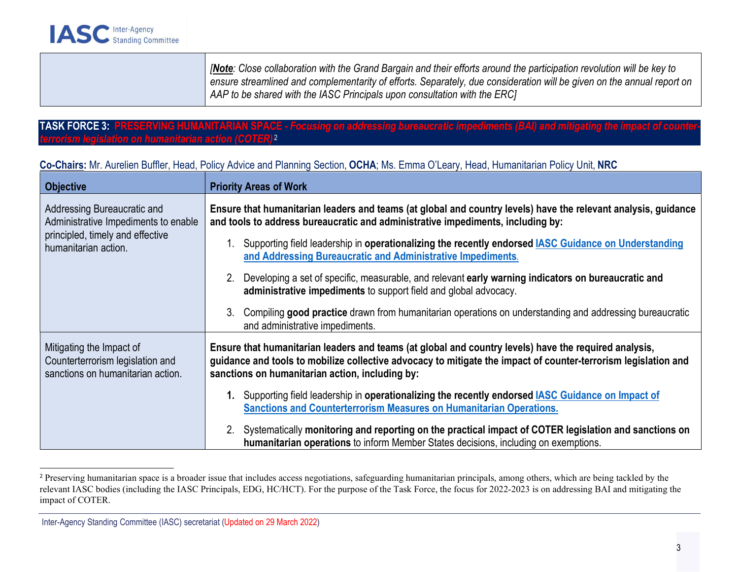[Note: Close collaboration with the Grand Bargain and their efforts around the participation revolution will be key to ensure streamlined and complementarity of efforts. Separately, due consideration will be given on the annual report on AAP to be shared with the IASC Principals upon consultation with the ERC]

#### TASK FORCE 3: PRESERVING HUMANITARIAN SPACE - Focusing on addressing bureaucratic impediments (BAI) and mitigating the impact of countertarian action (COTER)<sup>2</sup>

#### Co-Chairs: Mr. Aurelien Buffler, Head, Policy Advice and Planning Section, OCHA; Ms. Emma O'Leary, Head, Humanitarian Policy Unit, NRC

| <b>Objective</b>                                                                                                                | <b>Priority Areas of Work</b>                                                                                                                                                                                                                                              |
|---------------------------------------------------------------------------------------------------------------------------------|----------------------------------------------------------------------------------------------------------------------------------------------------------------------------------------------------------------------------------------------------------------------------|
| Addressing Bureaucratic and<br>Administrative Impediments to enable<br>principled, timely and effective<br>humanitarian action. | Ensure that humanitarian leaders and teams (at global and country levels) have the relevant analysis, guidance<br>and tools to address bureaucratic and administrative impediments, including by:                                                                          |
|                                                                                                                                 | Supporting field leadership in operationalizing the recently endorsed <b>IASC Guidance on Understanding</b><br>and Addressing Bureaucratic and Administrative Impediments.                                                                                                 |
|                                                                                                                                 | 2. Developing a set of specific, measurable, and relevant early warning indicators on bureaucratic and<br>administrative impediments to support field and global advocacy.                                                                                                 |
|                                                                                                                                 | 3. Compiling good practice drawn from humanitarian operations on understanding and addressing bureaucratic<br>and administrative impediments.                                                                                                                              |
| Mitigating the Impact of<br>Counterterrorism legislation and<br>sanctions on humanitarian action.                               | Ensure that humanitarian leaders and teams (at global and country levels) have the required analysis,<br>guidance and tools to mobilize collective advocacy to mitigate the impact of counter-terrorism legislation and<br>sanctions on humanitarian action, including by: |
|                                                                                                                                 | 1. Supporting field leadership in operationalizing the recently endorsed IASC Guidance on Impact of<br><b>Sanctions and Counterterrorism Measures on Humanitarian Operations.</b>                                                                                          |
|                                                                                                                                 | 2. Systematically monitoring and reporting on the practical impact of COTER legislation and sanctions on<br>humanitarian operations to inform Member States decisions, including on exemptions.                                                                            |

<sup>&</sup>lt;sup>2</sup> Preserving humanitarian space is a broader issue that includes access negotiations, safeguarding humanitarian principals, among others, which are being tackled by the relevant IASC bodies (including the IASC Principals, EDG, HC/HCT). For the purpose of the Task Force, the focus for 2022-2023 is on addressing BAI and mitigating the impact of COTER.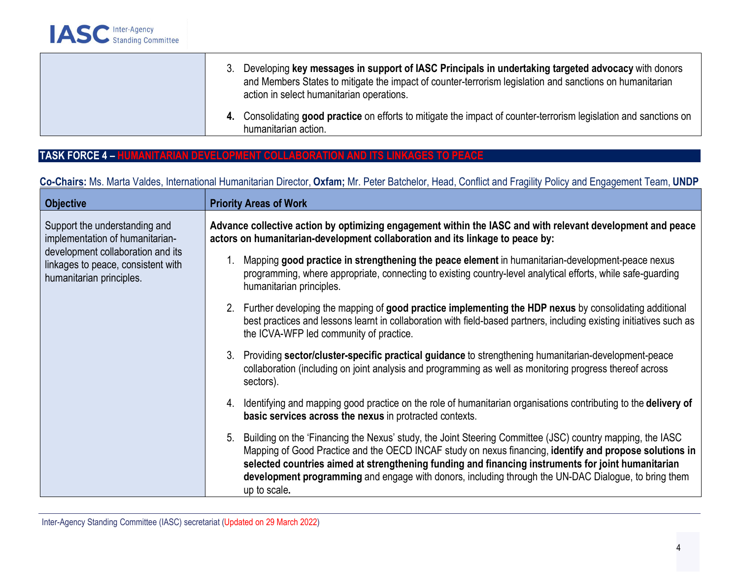| 3. Developing key messages in support of IASC Principals in undertaking targeted advocacy with donors<br>and Members States to mitigate the impact of counter-terrorism legislation and sanctions on humanitarian<br>action in select humanitarian operations. |  |
|----------------------------------------------------------------------------------------------------------------------------------------------------------------------------------------------------------------------------------------------------------------|--|
| 4. Consolidating good practice on efforts to mitigate the impact of counter-terrorism legislation and sanctions on<br>humanitarian action.                                                                                                                     |  |

## TASK FORCE 4 – HUMANITARIAN DEVELOPMENT COLLABORATION AND ITS LINKAGES TO PEACE

# Co-Chairs: Ms. Marta Valdes, International Humanitarian Director, Oxfam; Mr. Peter Batchelor, Head, Conflict and Fragility Policy and Engagement Team, UNDP

| <b>Objective</b>                                                                                                                                                        | <b>Priority Areas of Work</b>                                                                                                                                                                                                                                                                                                                                                                                                                            |
|-------------------------------------------------------------------------------------------------------------------------------------------------------------------------|----------------------------------------------------------------------------------------------------------------------------------------------------------------------------------------------------------------------------------------------------------------------------------------------------------------------------------------------------------------------------------------------------------------------------------------------------------|
| Support the understanding and<br>implementation of humanitarian-<br>development collaboration and its<br>linkages to peace, consistent with<br>humanitarian principles. | Advance collective action by optimizing engagement within the IASC and with relevant development and peace<br>actors on humanitarian-development collaboration and its linkage to peace by:                                                                                                                                                                                                                                                              |
|                                                                                                                                                                         | Mapping good practice in strengthening the peace element in humanitarian-development-peace nexus<br>programming, where appropriate, connecting to existing country-level analytical efforts, while safe-guarding<br>humanitarian principles.                                                                                                                                                                                                             |
|                                                                                                                                                                         | 2. Further developing the mapping of good practice implementing the HDP nexus by consolidating additional<br>best practices and lessons learnt in collaboration with field-based partners, including existing initiatives such as<br>the ICVA-WFP led community of practice.                                                                                                                                                                             |
|                                                                                                                                                                         | 3. Providing sector/cluster-specific practical guidance to strengthening humanitarian-development-peace<br>collaboration (including on joint analysis and programming as well as monitoring progress thereof across<br>sectors).                                                                                                                                                                                                                         |
|                                                                                                                                                                         | Identifying and mapping good practice on the role of humanitarian organisations contributing to the delivery of<br>4.<br>basic services across the nexus in protracted contexts.                                                                                                                                                                                                                                                                         |
|                                                                                                                                                                         | Building on the 'Financing the Nexus' study, the Joint Steering Committee (JSC) country mapping, the IASC<br>5.<br>Mapping of Good Practice and the OECD INCAF study on nexus financing, identify and propose solutions in<br>selected countries aimed at strengthening funding and financing instruments for joint humanitarian<br>development programming and engage with donors, including through the UN-DAC Dialogue, to bring them<br>up to scale. |